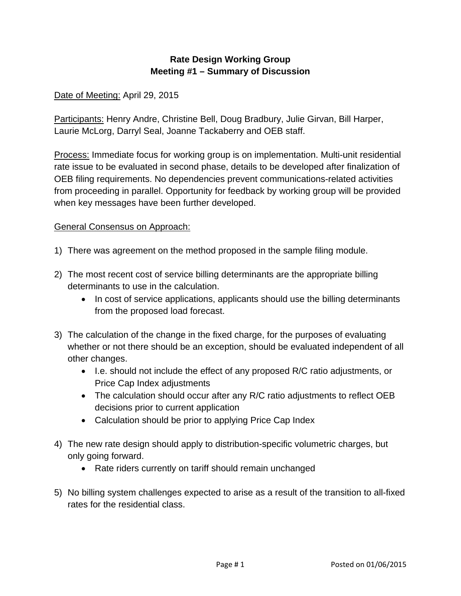# **Rate Design Working Group Meeting #1 – Summary of Discussion**

# Date of Meeting: April 29, 2015

Participants: Henry Andre, Christine Bell, Doug Bradbury, Julie Girvan, Bill Harper, Laurie McLorg, Darryl Seal, Joanne Tackaberry and OEB staff.

Process: Immediate focus for working group is on implementation. Multi-unit residential rate issue to be evaluated in second phase, details to be developed after finalization of OEB filing requirements. No dependencies prevent communications-related activities from proceeding in parallel. Opportunity for feedback by working group will be provided when key messages have been further developed.

#### General Consensus on Approach:

- 1) There was agreement on the method proposed in the sample filing module.
- 2) The most recent cost of service billing determinants are the appropriate billing determinants to use in the calculation.
	- In cost of service applications, applicants should use the billing determinants from the proposed load forecast.
- 3) The calculation of the change in the fixed charge, for the purposes of evaluating whether or not there should be an exception, should be evaluated independent of all other changes.
	- I.e. should not include the effect of any proposed R/C ratio adjustments, or Price Cap Index adjustments
	- The calculation should occur after any R/C ratio adjustments to reflect OEB decisions prior to current application
	- Calculation should be prior to applying Price Cap Index
- 4) The new rate design should apply to distribution-specific volumetric charges, but only going forward.
	- Rate riders currently on tariff should remain unchanged
- 5) No billing system challenges expected to arise as a result of the transition to all-fixed rates for the residential class.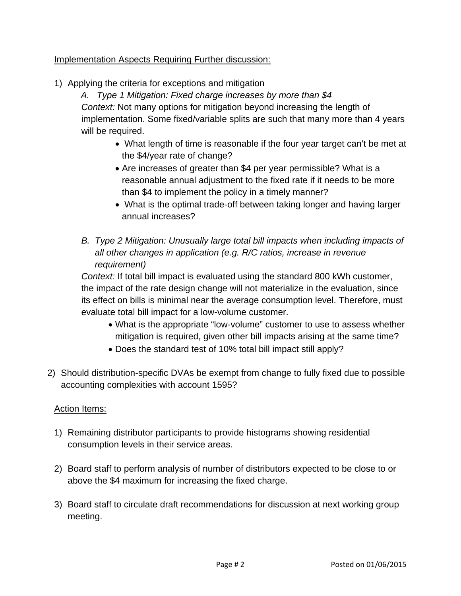# Implementation Aspects Requiring Further discussion:

1) Applying the criteria for exceptions and mitigation

*A. Type 1 Mitigation: Fixed charge increases by more than \$4 Context:* Not many options for mitigation beyond increasing the length of implementation. Some fixed/variable splits are such that many more than 4 years will be required.

- What length of time is reasonable if the four year target can't be met at the \$4/year rate of change?
- Are increases of greater than \$4 per year permissible? What is a reasonable annual adjustment to the fixed rate if it needs to be more than \$4 to implement the policy in a timely manner?
- What is the optimal trade-off between taking longer and having larger annual increases?
- *B. Type 2 Mitigation: Unusually large total bill impacts when including impacts of all other changes in application (e.g. R/C ratios, increase in revenue requirement)*

*Context:* If total bill impact is evaluated using the standard 800 kWh customer, the impact of the rate design change will not materialize in the evaluation, since its effect on bills is minimal near the average consumption level. Therefore, must evaluate total bill impact for a low-volume customer.

- What is the appropriate "low-volume" customer to use to assess whether mitigation is required, given other bill impacts arising at the same time?
- Does the standard test of 10% total bill impact still apply?
- 2) Should distribution-specific DVAs be exempt from change to fully fixed due to possible accounting complexities with account 1595?

#### Action Items:

- 1) Remaining distributor participants to provide histograms showing residential consumption levels in their service areas.
- 2) Board staff to perform analysis of number of distributors expected to be close to or above the \$4 maximum for increasing the fixed charge.
- 3) Board staff to circulate draft recommendations for discussion at next working group meeting.